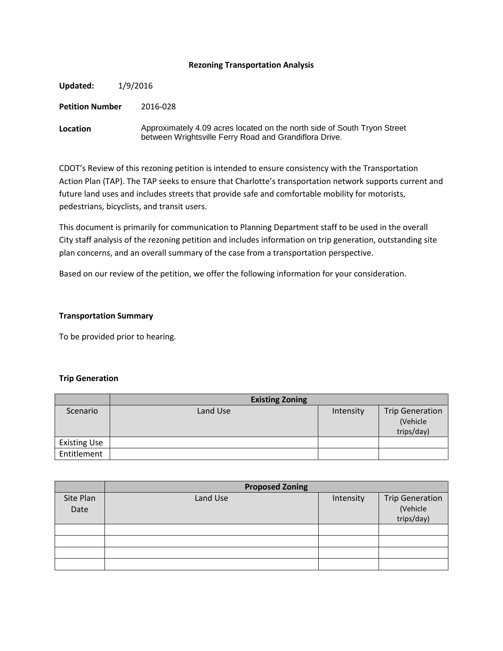### **Rezoning Transportation Analysis**

| Updated:               | 1/9/2016 |                                                                                                                                    |  |
|------------------------|----------|------------------------------------------------------------------------------------------------------------------------------------|--|
| <b>Petition Number</b> |          | 2016-028                                                                                                                           |  |
| Location               |          | Approximately 4.09 acres located on the north side of South Tryon Street<br>between Wrightsville Ferry Road and Grandiflora Drive. |  |

CDOT's Review of this rezoning petition is intended to ensure consistency with the Transportation Action Plan (TAP). The TAP seeks to ensure that Charlotte's transportation network supports current and future land uses and includes streets that provide safe and comfortable mobility for motorists, pedestrians, bicyclists, and transit users.

This document is primarily for communication to Planning Department staff to be used in the overall City staff analysis of the rezoning petition and includes information on trip generation, outstanding site plan concerns, and an overall summary of the case from a transportation perspective.

Based on our review of the petition, we offer the following information for your consideration.

# **Transportation Summary**

To be provided prior to hearing.

#### **Trip Generation**

|                     | <b>Existing Zoning</b> |           |                                                  |
|---------------------|------------------------|-----------|--------------------------------------------------|
| Scenario            | Land Use               | Intensity | <b>Trip Generation</b><br>(Vehicle<br>trips/day) |
| <b>Existing Use</b> |                        |           |                                                  |
| Entitlement         |                        |           |                                                  |

|                   | <b>Proposed Zoning</b> |           |                                                  |  |  |
|-------------------|------------------------|-----------|--------------------------------------------------|--|--|
| Site Plan<br>Date | Land Use               | Intensity | <b>Trip Generation</b><br>(Vehicle<br>trips/day) |  |  |
|                   |                        |           |                                                  |  |  |
|                   |                        |           |                                                  |  |  |
|                   |                        |           |                                                  |  |  |
|                   |                        |           |                                                  |  |  |